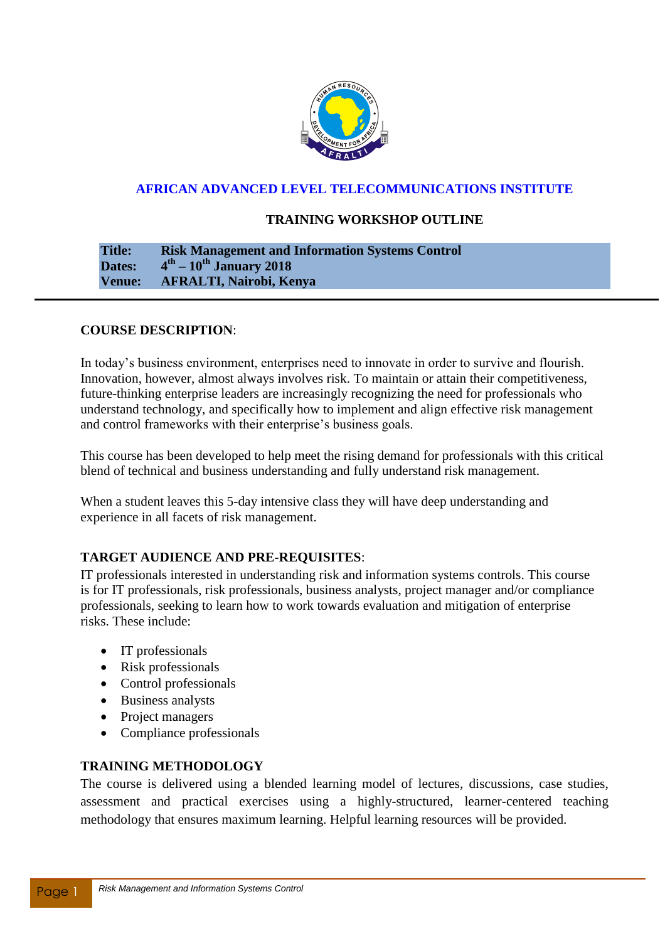

# **AFRICAN ADVANCED LEVEL TELECOMMUNICATIONS INSTITUTE**

## **TRAINING WORKSHOP OUTLINE**

#### **Title: Risk Management and Information Systems Control** Dates: **th – 10th January 2018 Venue: AFRALTI, Nairobi, Kenya**

# **COURSE DESCRIPTION**:

In today's business environment, enterprises need to innovate in order to survive and flourish. Innovation, however, almost always involves risk. To maintain or attain their competitiveness, future-thinking enterprise leaders are increasingly recognizing the need for professionals who understand technology, and specifically how to implement and align effective risk management and control frameworks with their enterprise's business goals.

This course has been developed to help meet the rising demand for professionals with this critical blend of technical and business understanding and fully understand risk management.

When a student leaves this 5-day intensive class they will have deep understanding and experience in all facets of risk management.

### **TARGET AUDIENCE AND PRE-REQUISITES**:

IT professionals interested in understanding risk and information systems controls. This course is for IT professionals, risk professionals, business analysts, project manager and/or compliance professionals, seeking to learn how to work towards evaluation and mitigation of enterprise risks. These include:

- IT professionals
- Risk professionals
- Control professionals
- Business analysts
- Project managers
- Compliance professionals

# **TRAINING METHODOLOGY**

The course is delivered using a blended learning model of lectures, discussions, case studies, assessment and practical exercises using a highly-structured, learner-centered teaching methodology that ensures maximum learning. Helpful learning resources will be provided.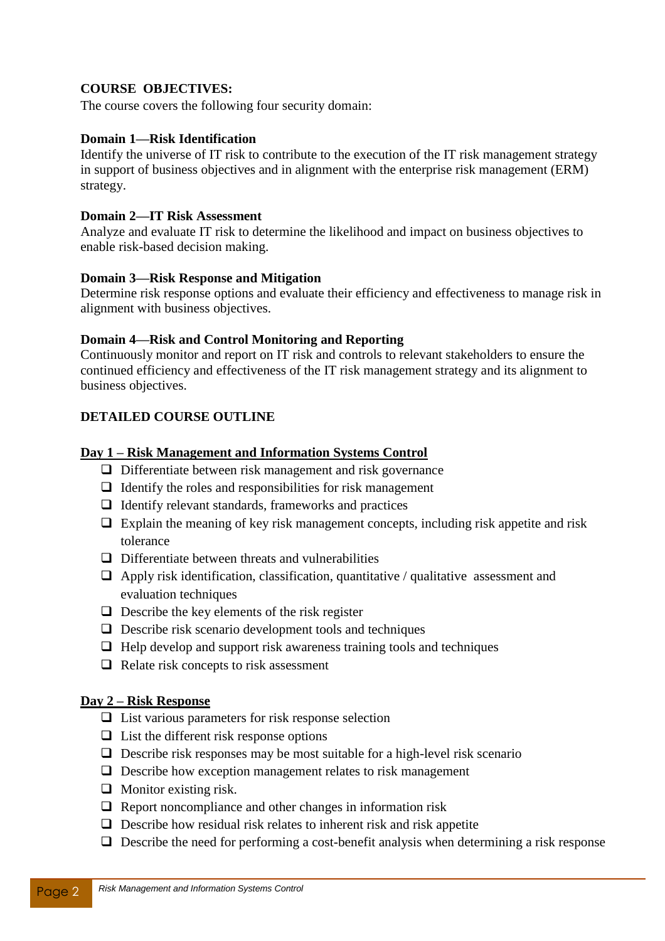# **COURSE OBJECTIVES:**

The course covers the following four security domain:

### **Domain 1—Risk Identification**

Identify the universe of IT risk to contribute to the execution of the IT risk management strategy in support of business objectives and in alignment with the enterprise risk management (ERM) strategy.

### **Domain 2—IT Risk Assessment**

Analyze and evaluate IT risk to determine the likelihood and impact on business objectives to enable risk-based decision making.

### **Domain 3—Risk Response and Mitigation**

Determine risk response options and evaluate their efficiency and effectiveness to manage risk in alignment with business objectives.

# **Domain 4—Risk and Control Monitoring and Reporting**

Continuously monitor and report on IT risk and controls to relevant stakeholders to ensure the continued efficiency and effectiveness of the IT risk management strategy and its alignment to business objectives.

# **DETAILED COURSE OUTLINE**

# **Day 1 – Risk Management and Information Systems Control**

- $\Box$  Differentiate between risk management and risk governance
- $\Box$  Identify the roles and responsibilities for risk management
- $\Box$  Identify relevant standards, frameworks and practices
- $\Box$  Explain the meaning of key risk management concepts, including risk appetite and risk tolerance
- $\Box$  Differentiate between threats and vulnerabilities
- $\Box$  Apply risk identification, classification, quantitative / qualitative assessment and evaluation techniques
- $\Box$  Describe the key elements of the risk register
- $\Box$  Describe risk scenario development tools and techniques
- $\Box$  Help develop and support risk awareness training tools and techniques
- $\Box$  Relate risk concepts to risk assessment

# **Day 2 – Risk Response**

- $\Box$  List various parameters for risk response selection
- $\Box$  List the different risk response options
- $\Box$  Describe risk responses may be most suitable for a high-level risk scenario
- $\Box$  Describe how exception management relates to risk management
- $\Box$  Monitor existing risk.
- $\Box$  Report noncompliance and other changes in information risk
- $\Box$  Describe how residual risk relates to inherent risk and risk appetite
- $\Box$  Describe the need for performing a cost-benefit analysis when determining a risk response